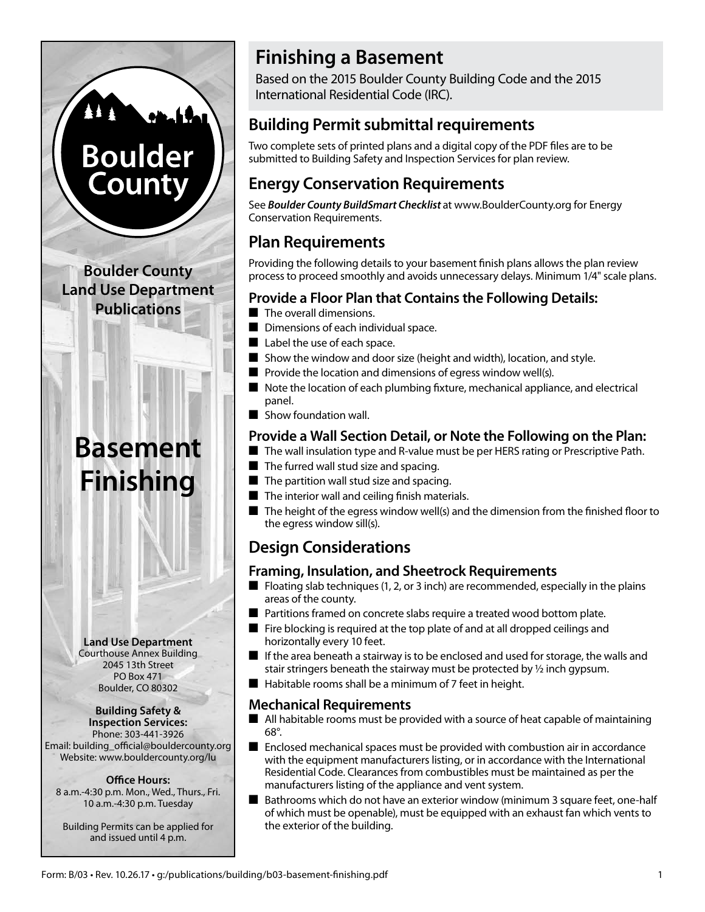# **Boulder County**

**Boulder County Land Use Department Publications**

## **Basement Finishing**

**Land Use Department** Courthouse Annex Building 2045 13th Street PO Box 471 Boulder, CO 80302

#### **Building Safety & Inspection Services:**

Phone: 303-441-3926 Email: building\_official@bouldercounty.org Website: www.bouldercounty.org/lu

### **Office Hours:**

8 a.m.-4:30 p.m. Mon., Wed., Thurs., Fri. 10 a.m.-4:30 p.m. Tuesday

Building Permits can be applied for and issued until 4 p.m.

## **Finishing a Basement**

Based on the 2015 Boulder County Building Code and the 2015 International Residential Code (IRC).

## **Building Permit submittal requirements**

Two complete sets of printed plans and a digital copy of the PDF files are to be submitted to Building Safety and Inspection Services for plan review.

## **Energy Conservation Requirements**

See *Boulder County BuildSmart Checklist* at www.BoulderCounty.org for Energy Conservation Requirements.

## **Plan Requirements**

Providing the following details to your basement finish plans allows the plan review process to proceed smoothly and avoids unnecessary delays. Minimum 1/4" scale plans.

## **Provide a Floor Plan that Contains the Following Details:**

- $\blacksquare$  The overall dimensions.
- Dimensions of each individual space.
- $\blacksquare$  Label the use of each space.
- $\blacksquare$  Show the window and door size (height and width), location, and style.
- $\blacksquare$  Provide the location and dimensions of egress window well(s).
- $\blacksquare$  Note the location of each plumbing fixture, mechanical appliance, and electrical panel.
- $\blacksquare$  Show foundation wall.

## **Provide a Wall Section Detail, or Note the Following on the Plan:**

- $\blacksquare$  The wall insulation type and R-value must be per HERS rating or Prescriptive Path.
- $\blacksquare$  The furred wall stud size and spacing.
- $\blacksquare$  The partition wall stud size and spacing.
- $\blacksquare$  The interior wall and ceiling finish materials.
- $\blacksquare$  The height of the egress window well(s) and the dimension from the finished floor to the egress window sill(s).

## **Design Considerations**

## **Framing, Insulation, and Sheetrock Requirements**

- $\blacksquare$  Floating slab techniques (1, 2, or 3 inch) are recommended, especially in the plains areas of the county.
- Partitions framed on concrete slabs require a treated wood bottom plate.
- $\blacksquare$  Fire blocking is required at the top plate of and at all dropped ceilings and horizontally every 10 feet.
- $\blacksquare$  If the area beneath a stairway is to be enclosed and used for storage, the walls and stair stringers beneath the stairway must be protected by ½ inch gypsum.
- $\blacksquare$  Habitable rooms shall be a minimum of 7 feet in height.

## **Mechanical Requirements**

- $\blacksquare$  All habitable rooms must be provided with a source of heat capable of maintaining 68°.
- $\blacksquare$  Enclosed mechanical spaces must be provided with combustion air in accordance with the equipment manufacturers listing, or in accordance with the International Residential Code. Clearances from combustibles must be maintained as per the manufacturers listing of the appliance and vent system.
- Bathrooms which do not have an exterior window (minimum 3 square feet, one-half of which must be openable), must be equipped with an exhaust fan which vents to the exterior of the building.